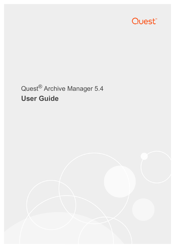

# Quest® Archive Manager 5.4 **User Guide**

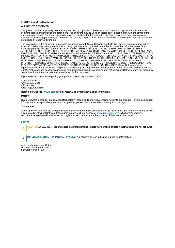#### **© 2017 Quest Software Inc.**

#### **ALL RIGHTS RESERVED.**

This guide contains proprietary information protected by copyright. The software described in this guide is furnished under a software license or nondisclosure agreement. This software may be used or copied only in accordance with the terms of the applicable agreement. No part of this guide may be reproduced or transmitted in any form or by any means, electronic or mechanical, including photocopying and recording for any purpose other than the purchaser's personal use without the written permission of Quest Software Inc.

The information in this document is provided in connection with Quest Software products. No license, express or implied, by estoppel or otherwise, to any intellectual property right is granted by this document or in connection with the sale of Quest<br>Software products. EXCEPT AS SET FORTH IN THE TERMS AND CONDITIONS AS SPECIFIED IN THE LICENSE<br>A EXPRESS, IMPLIED OR STATUTORY WARRANTY RELATING TO ITS PRODUCTS INCLUDING, BUT NOT LIMITED TO, THE IMPLIED WARRANTY OF MERCHANTABILITY, FITNESS FOR A PARTICULAR PURPOSE, OR NON-INFRINGEMENT. IN NO EVENT SHALL QUEST SOFTWARE BE LIABLE FOR ANY DIRECT, INDIRECT, CONSEQUENTIAL, PUNITIVE, SPECIAL OR INCIDENTAL DAMAGES (INCLUDING, WITHOUT LIMITATION, DAMAGES FOR LOSS OF PROFITS, BUSINESS<br>INTERRUPTION OR LOSS OF INFORMATION) ARISING OUT OF THE USE OR INABILITY TO USE THIS DOCUMENT, EVEN IF QUEST SOFTWARE HAS BEEN ADVISED OF THE POSSIBILITY OF SUCH DAMAGES. Quest Software makes no representations or warranties with respect to the accuracy or completeness of the contents of this document and reserves the right to make changes to specifications and product descriptions at any time without notice. Quest Software does not make any commitment to update the information contained in this document.

If you have any questions regarding your potential use of this material, contact:

Quest Software Inc. Attn: LEGAL Dept. 4 Polaris Way Aliso Viejo, CA 92656

Refer to our website [\(www.quest.com](http://www.quest.com)) for regional and international office information.

#### **Patents**

Quest Software is proud of our advanced technology. Patents and pending patents may apply to this product. For the most current information about applicable patents for this product, please visit our website at www.quest.com/legal.

#### **Trademarks**

Quest and the Quest logo are trademarks and registered trademarks of Quest Software Inc. in the U.S.A. and other countries. For a complete list of Quest Software trademarks, please visit our website at [www.quest.com/legal.](http://www.quest.com/legal) All other trademarks, servicemarks, registered trademarks, and registered servicemarks are the property of their respective owners.

#### **Legend**

**CAUTION: A CAUTION icon indicates potential damage to hardware or loss of data if instructions are not followed.** t

**IMPORTANT**, **NOTE**, **TIP**, **MOBILE**, or **VIDEO:** An information icon indicates supporting information.i

Archive Manager User Guide Updated - September 2017 Software Version - 5.4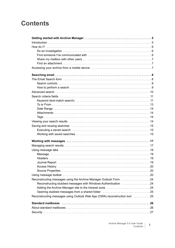## **Contents**

| Reconstructing messages using the Archive Manager Outlook Form 24          |
|----------------------------------------------------------------------------|
| Reconstructing stubbed messages with Windows Authentication 24             |
|                                                                            |
| Opening stubbed messages from a shared folder 25                           |
| Reconstructing messages using Outlook Web App (OWA) reconstruction tool 25 |
|                                                                            |
|                                                                            |
|                                                                            |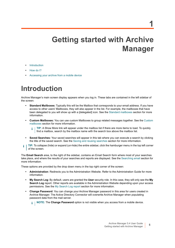# **Getting started with Archive Manager**

- <span id="page-4-0"></span>**•** [Introduction](#page-4-1)
- **•** [How do I?](#page-5-0)
- **•** [Accessing your archive from a mobile device](#page-6-2)

# <span id="page-4-1"></span>**Introduction**

Archive Manager's main screen display appears when you log in. These tabs are contained in the left sidebar of the screen:

- **Standard Mailboxes:** Typically this will be the Mailbox that corresponds to your email address. If you have access to other users' Mailboxes, they will also appear in the list. For example, the mailboxes that have been delegated to you will show up with a [delegated] icon. See the [Standard mailboxes](#page-25-2) section for more information.
- **Custom Mailboxes:** You can use custom Mailboxes to group related messages together. See the [Custom](#page-27-4)  [mailboxes](#page-27-4) section for more information.
	- **TIP:** A Show More link will appear under the mailbox list if there are more items to load. To quickly ÷ find a mailbox, search by the mailbox name with the search box above the mailbox list.
- **Saved Searches:** Your saved searches will appear in this tab where you can execute a search by clicking the title of the saved search. See the [Saving and reusing searches](#page-14-3) section for more information.
- **TIP:** To collapse (hide) or expand (un-hide) the entire sidebar, click the hamburger menu in the top left corner i of the screen.

The **Email Search** area, to the right of the sidebar, contains an Email Search form where most of your searches take place, and where the results of your searches and reports are displayed. See the [Searching email](#page-7-3) section for more information.

These options are provided by the drop down menu in the top right corner of the screen:

- **Administration**: Redirects you to the Administration Website. Refer to the Administration Guide for more information.
- **My Search Log**: By default, users are granted the **User** security role. In this case, they will only see the **My Search Log** report. Other reports are available in the Administration Website depending upon your access permissions. See the [My Search Log report](#page-29-1) section for more information.
- **Change Password**: You can change your Archive Manager password in this area for users created in Archive Manager. The Active Directory Connector will overwrite Archive Manager when populating password data from the mail server.

**i** | NOTE: The Change Password option is not visible when you access from a mobile device.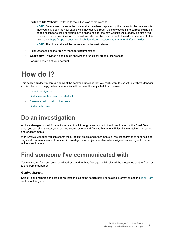- **Switch to Old Website**: Switches to the old version of the website.
	- **NOTE:** Several web pages in the old website have been replaced by the pages for the new website, f. thus you may open the new pages while navigating through the old website if the corresponding old pages no longer exist. For example, the online help for the new website will probably be displayed when you click a question icon in the old website. For the instructions to the old website, refer to this user guide: <https://support.quest.com/technical-documents/archive-manager/5.3/user-guide/>

**NOTE:** The old website will be deprecated in the next release.

- **Help**: Opens the online Archive Manager documentation.
- **What's New**: Provides a short guide showing the functional areas of the website.
- **Logout**: Logs out of your account.

# <span id="page-5-0"></span>**How do I?**

This section guides you through some of the common functions that you might want to use within Archive Manager and is intended to help you become familiar with some of the ways that it can be used.

- **•** [Do an investigation](#page-5-1)
- **•** [Find someone I've communicated with](#page-5-2)
- **•** [Share my mailbox with other users](#page-6-0)
- **•** [Find an attachment](#page-6-1)

## <span id="page-5-1"></span>**Do an investigation**

Archive Manager is ideal for you if you need to sift through email as part of an investigation: in the Email Search area, you can simply enter your required search criteria and Archive Manager will list all the matching messages and/or attachments.

With Archive Manager you can search the full text of emails and attachments, or restrict searches to specific fields. Tags and comments related to a specific investigation or project are able to be assigned to messages to further refine investigations.

## <span id="page-5-2"></span>**Find someone I've communicated with**

You can search for a person or email address, and Archive Manager will display all the messages sent to, from, or to and from that person.

### *Getting Started:*

Select **To or From** from the drop down list to the left of the search box. For detailed information see the [To or From](#page-12-1) section of this guide.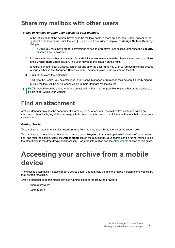## <span id="page-6-3"></span><span id="page-6-0"></span>**Share my mailbox with other users**

#### *To give or remove another user access to your mailbox:*

In the left sidebar of the screen, hover over the mailbox name, a more options icon [...] will appear to the right of the mailbox name. Click the icon […] and select **Security** to display the **Assign Mailbox Security** dialog box.

**NOTE:** You must have proper permissions to assign or remove user access, otherwise the **Security** i option will be unavailable.

2 To give access to another user, search for and click the user name you wish to have access to your mailbox in the **Unassigned Users** column. The user moves to the column on the right.

To remove another user's access, search for and click the user name you wish to remove his or her access to your mailbox in the **Assigned Users** column. The user moves to the column on the left.

3 **Click OK** to close the dialog box.

Next time the user(s) you selected logs in to Archive Manager, or refreshes their screen if already signed in, your Mailbox will be or no longer visible in their Standard Mailboxes list.

**NOTE:** Security can be added only to a complete Mailbox. It is not possible to give other users access to a i single folder within your Mailbox.

## <span id="page-6-1"></span>**Find an attachment**

Archive Manager provides the capability of searching for an attachment, as well as text contained within an attachment, then displaying all the messages that contain the attachment, or all the attachments that contain your specified text.

### *Getting Started:*

To search for an attachment, select **Attachments** from the drop down list to the left of the search box.

To search for text contained within an attachment, select **Keyword** from the drop down list to the left of the search box, and after the search, select the **Attachments** tab on the result page. Your search can be further refined using the other fields in the drop down list if necessary. For more information see the [Attachments](#page-13-4) section of this guide.

# <span id="page-6-2"></span>**Accessing your archive from a mobile device**

The website automatically detects mobile device users, and redirects them to the mobile version of the website by their screen resolution.

Archive Manager supports mobile devices running either of the following browsers:

- **•** Android browsers
- **•** Safari Mobile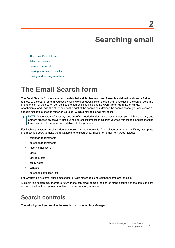# <span id="page-7-3"></span>**Searching email**

- <span id="page-7-0"></span>**•** [The Email Search form](#page-7-1)
- **•** [Advanced search](#page-9-0)
- **•** [Search criteria fields](#page-10-0)
- **•** [Viewing your search results](#page-13-3)
- **•** [Saving and reusing searches](#page-14-0)

# <span id="page-7-1"></span>**The Email Search form**

The **Email Search** form lets you perform detailed and flexible searches. A search is defined, and can be further refined, by the search criteria you specify with two drop down lists on the left and right sides of the search box: The one to the left of the search box defines the search fields including Keyword, To or From, Date Range, Attachments, and Tags; the other one, to the right of the search box, defines the search scope: you can search a specific mailbox, a specific folder or subfolder within a mailbox, or all mailboxes.

**NOTE:** Since actual eDiscovery runs are often needed under rush circumstances, you might want to try one ÷. or more practice eDiscovery runs during non-critical times to familiarize yourself with the tool and its baseline times, and just to become comfortable with the process.

For Exchange systems, Archive Manager indexes all the meaningful fields of non-email items as if they were parts of a message body, to make them available to text searches. These non-email item types include:

- **•** calendar appointments
- **•** personal appointments
- **•** meeting invitations
- **•** tasks
- **•** task requests
- **•** sticky notes
- **•** contacts
- **•** personal distribution lists

For GroupWise systems, public messages, private messages, and calendar items are indexed.

A simple text search may therefore return these non-email items if the search string occurs in those items as part of a meeting location, appointment time, contact company name, etc.

## <span id="page-7-2"></span>**Search controls**

The following sections describe the search controls for Archive Manager.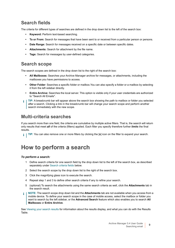### **Search fields**

The criteria for different types of searches are defined in the drop down list to the left of the search box:

- **Keyword:** Perform text-based searching.
- **To or From:** Search for messages that have been sent to or received from a particular person or persons.
- **Date Range:** Search for messages received on a specific date or between specific dates.
- **Attachments:** Search for attachment by the file name.
- **Tags:** Search for messages by user-defined categories.

### <span id="page-8-1"></span>**Search scope**

The search scopes are defined in the drop down list to the right of the search box:

- **All Mailboxes:** Searches your Archive Manager archive for messages, or attachments, including the mailboxes you have permissions to access.
- **Other Folder**: Searches a specific folder or mailbox.You can also specify a folder or a mailbox by selecting it from the left sidebar directly.
- **Entire Archive:** Searches the local server. This option is visible only if your user credentials are authorized to "Search All Emails".
- **TIP:** A breadcrumb bar will appear above the search box showing the path to mailbox or folder you selected ÷ after a search. Clicking a link in the breadcrumb bar will change your search scope and perform another search immediately with the new scope.

### **Multi-criteria searches**

If you search more than one field, the criteria are cumulative by multiple active filters. That is, the search will return only results that meet *all* of the criteria (filters) applied. Each filter you specify therefore further *limits* the final results.

**TIP:** You can also remove one or more filters by clicking the [**x**] icon on the filter to expand your search.

### <span id="page-8-0"></span>**How to perform a search**

### *To perform a search:*

- 1 Define search criteria for one search field by the drop down list to the left of the search box, as described separately under [Search criteria fields](#page-10-0) below.
- 2 Select the search scope by the drop down list to the right of the search box.
- 3 Click the magnifying glass icon to execute the search.
- 4 Repeat step 1 and 3 to define other search criteria if any to refine your search.
- 5 (optional) To search the attachments using the same search criteria as well, click the **Attachments** tab in the search result.
- **NOTE:** The search scope drop down list and the **Attachments** tab are not available when you access from a ÷ mobile device. To define your search scope in the case of mobile access, select the mailbox or folder you want to search by the left sidebar, or the **Advanced Search** feature which also enables you to search **All Mailboxes** or **Entire Archive**.

See [Viewing your search results](#page-13-3) for information about the results display, and what you can do with the Results Table.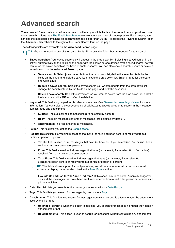# <span id="page-9-0"></span>**Advanced search**

The Advanced Search lets you define your search criteria by multiple fields at the same time, and provides more useful search options than [The Email Search form](#page-7-1) to make your search results more precise. For example, you can find the messages containing an attachment that is bigger than 20 MB. To access the Advanced Search, click the **Advanced Search** link to the right of the Email Search form on the page.

The following fields are available on the **Advanced Search** page:

- **TIP:** You do not need to use all the search fields. Fill in only the fields that are needed for your search. i l
	- **Saved Searches**: Your saved searches will appear in the drop down list. Selecting a saved search in the list will automatically fill the fields on the page with the search criteria defined by the saved search, so you can reuse the saved search as the basis of another search. You can also save a search, update or delete a saved search on the **Advanced Search** page:
		- **Save a search:** Select [new search] from the drop down list, define the search criteria by the fields on the page, and click the save icon next to the drop down list. Enter a name for the search and Click **Save**.
		- **Update a saved search**: Select the saved search you want to update from the drop down list, change the search criteria by the fields on the page, and click the save icon.
		- **Delete a save search**: Select the saved search you want to delete from the drop down list, click the trash icon, and click **OK** to confirm the deletion.
	- **Keyword**: This field lets you perform text-based searches. See [General text search guidelines](#page-10-2) for more information. You can select the corresponding check boxes to specify whether to search in the message subject, body and attachment:
		- **Subject:** The subject lines of messages (pre-selected by default).
		- **Body:** The main message contents of messages (pre-selected by default).
		- Attachments: The files attached to messages.
	- **Folder**: This field lets you define the [Search scope.](#page-8-1)
	- **People**: This section lets you find messages that have (or have not) been sent to or received from a particular person or persons.
		- **To**: This field is used to find messages that have (or have not, if you select Not Contains) been sent to a particular person or persons.
		- **From:** This field is used to find messages that have (or have not, if you select Not Contains) received from a particular person or persons.
		- **To or From:** This field is used to find messages that have (or have not, if you select Not Contains) been sent to or received from a particular person or persons.
		- **TIP:** The fields above support for multiple values, and allow you to enter all or part of an email address or display name, as described in the [To or From](#page-12-0) section.
			- **Exclude Cc and Bcc for "To" and "To/From"**: If this check box is selected, Archive Manager will only find the messages that have been sent to or received from a particular person or persons as a primary recipient.
	- **Date**: This field lets you search for the messages received within a [Date Range](#page-13-0).
	- **Tags**: This field lets you search for messages by one or more [Tags.](#page-13-2)
	- **Attachments**: This field lets you search for messages containing a specific attachment, or the attachment itself by the file name.
		- **Unlimited (default):** When this option is selected, you search for messages no matter they contain attachments or not.
		- **No attachments:** This option is used to search for messages without containing any attachments.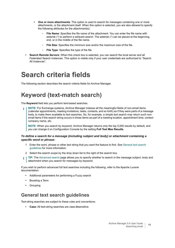- **One or more attachments:** This option is used to search for messages containing one or more attachments, or the attachment itself. When this option is selected, you are also allowed to specify the following attributes for the attachment(s):
	- **File Name**: Specifies the file name of the attachment. You can enter the file name with asterisk (\*) to perform a wildcard search. The asterisk (\*) can be placed at the beginning, end, or in the middle of the file name.
	- **File Size**: Specifies the minimum size and/or the maximum size of the file.
	- **File Type**: Specifies the type of the file.
- **Search Remote Servers**: When this check box is selected, you can search the local server and all Federated Search Instances. This option is visible only if your user credentials are authorized to "Search All Instances".

## <span id="page-10-0"></span>**Search criteria fields**

The following section describes the search criteria fields for Archive Manager.

## <span id="page-10-1"></span>**Keyword (text-match search)**

The **Keyword** field lets you perform text-based searches.

**NOTE:** For Exchange systems, Archive Manager indexes all the meaningful fields of non-email items ÷. (calendar appointments, meeting invitations, tasks, contacts, and so forth) as if they were parts of a message body, to make them available to text searches. So, for example, a simple text search may return such nonemail items if the search string occurs in those items as part of a meeting location, appointment time, contact company name, etc.

**NOTE:** When you search by keyword, Archive Manager returns only the top 5,000 results by default, and you can change it on Configuration Console by the setting **Full Text Max Results**.

### *To define a search for a message (including subject and body) or attachment containing a specific word or phrase:*

- 1 Enter the word, phrase or other text string that you want the feature to find. See [General text search](#page-10-2)  [guidelines](#page-10-2) for more information.
- 2 Select the search scope by the drop down list to the right of the search box.
- **TIP:** The [Advanced search](#page-9-0) page allows you to specify whether to search in the message subject, body and i attachment when you search for messages by keyword.

If you wish to perform advanced full text searches including the following, refer to the Apache Lucene documentation:

- **•** Additional parameters for performing a Fuzzy search
- **•** Boosting a Term
- **•** Grouping

### <span id="page-10-2"></span>**General text search guidelines**

Text-string searches are subject to these rules and conventions:

**• Case:** All text-string searches are case-*in*sensitive.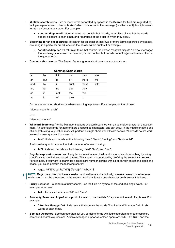- **Multiple search terms:** Two or more terms separated by spaces in the **Search for** field are regarded as multiple separate search terms, *both* of which must occur in the message (or attachment). Multiple search terms may occur in any order. For example:
	- **contract dispute** will return all items that contain both words, regardless of whether the words appear adjacent to each other, and regardless of the order in which they occur.
- **Searching for an exact phrase:** To search for an exact phrase (two or more terms separated by spaces, occurring in a particular order), enclose the phrase within quotes. For example:
	- **"contract dispute"** will return all items that contain the phrase "contract dispute," but not messages that contain just one word or the other, or that contain both words but not adjacent to each other in the quoted order.
- **Common short words:** The Search feature ignores short common words such as:

| <b>Common Short Words</b> |     |      |       |       |      |  |  |
|---------------------------|-----|------|-------|-------|------|--|--|
| a                         | be  | into | on    | then  | was  |  |  |
| an                        | but | İs   | or    | there | will |  |  |
| and                       | by  | it   | such  | these | with |  |  |
| are                       | for | no   | that  | they  |      |  |  |
| as                        | if  | not  | the   | this  |      |  |  |
| at                        | ın  |      | their | to    |      |  |  |

Do not use common short words when searching in phrases. For example, for the phrase:

"Meet at noon for lunch"

Use:

"Meet noon lunch"

- **Wildcard Searches:** Archive Manager supports wildcard searches with an asterisk character or a question mark. An asterisk stands for zero or more unspecified characters, and can occur in the middle or at the end of a search string. A question mark will perform a single character wildcard search. Wildcards do not work in exact phrase queries. For example:
	- **test\*:** finds such words as the following: "test"; "tests"; "testing"; and "testimonial".

A wildcard may not occur as the first character of a search string.

- **te?t:** finds such words as the following: "text"; "test"; and "tent".
- **Regular expression searches:** A regular expression search allows for more flexible searching by using specific syntax to find text-based patterns. This search is conducted by prefixing the search with **regex:**. For example, if you want to search for a credit card number starting with 51 or 55 with an optional dash or a space, you could perform the following search:
	- **▪** regex: ^5[15]\d{2}-?\s?\d{4}-?\s?\d{4}-?\s?\d{4}\$
- **NOTE:** Regex searches that have a leading wildcard have a dramatically increased search time because each record must be processed in the search. Adding at least a one-character prefix solves this issue.
- **Fuzzy Searches:** To perform a fuzzy search, use the tilde "~" symbol at the end of a single word. For example, when sea
	- **bat~:** finds such words as "fat" and "bats".
- **Proximity Searches:** To perform a proximity search, use the tilde "~" symbol at the end of a phrase. For example:
	- **"Archive Manager"~6:** finds results that contain the words "Archive" and "Manager" within six words of each other.
- **Boolean Operators:** Boolean operators let you combine terms with logic operators to create complex, compound search expressions. Archive Manager supports Boolean operators AND, OR, NOT, and the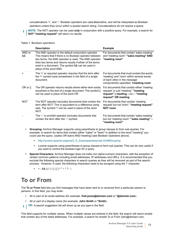concatenations '+', and '-'. Boolean operators are case-*in*sensitive, and will be interpreted as Boolean operators unless they occur within a quoted search string. Concatenations do not require a space:

**NOTE:** The NOT operator can be used *only* in conjunction with a positive query. For example, a search for ÷ **NOT "meeting request"** will return no results.

|              | <b>Description</b>                                                                                                                                                                                                                                                                                                     | <b>Example</b>                                                                                                                                                  |
|--------------|------------------------------------------------------------------------------------------------------------------------------------------------------------------------------------------------------------------------------------------------------------------------------------------------------------------------|-----------------------------------------------------------------------------------------------------------------------------------------------------------------|
| AND or<br>&& | The AND operator is the default conjunction operator.<br>This means that if there is no Boolean operator between<br>two terms, the AND operator is used. The AND operator<br>links two terms and returns results if either of the terms<br>exist in a document. The symbol && can be used in<br>place of the word AND. | For documents that contain 'sales meeting'<br>and 'meeting room': "sales meeting" AND<br>"meeting room"                                                         |
| ÷            | The '+' or required operator requires that the term after<br>the '+' symbol exist somewhere in the field of a single<br>document.                                                                                                                                                                                      | For documents that must contain the words<br>'meeting' and 'room' within several words<br>of each other in the message<br>component(s) specified: +meeting room |
| OR or $  $   | The OR operator returns results where either term exists<br>anywhere in the text of a single document. The symbol   <br>can be used in place of the word OR.                                                                                                                                                           | For documents that contain either 'meeting<br>request' or just 'meeting': "meeting<br>request"    meeting -or- "meeting<br>request" OR meeting                  |
| <b>NOT</b>   | The NOT operator excludes documents that contain the<br>term after NOT. This is equivalent to a difference using<br>sets. The symbol '!' can be used in place of the word<br>NOT.                                                                                                                                      | For documents that contain 'meeting<br>request' but not 'room': "meeting request"<br><b>NOT room</b>                                                            |
|              | The '-' or <i>prohibit</i> operator excludes documents that<br>contain the term after the '-' symbol.                                                                                                                                                                                                                  | For documents that contain 'sales meeting'<br>but not 'meeting room': "sales meeting" -<br>"meeting room"                                                       |

#### **Table 1. Boolean operators**

- **Grouping:** Archive Manager supports using parenthesis to group clauses to form sub-queries. For example, to search for items that contain either "sales" or "team" in addition to the word "meeting" you could use the query: ((sales OR team) AND meeting) (see Boolean Operators above).
	- **▪** http://lucene.apache.org/java/2\_9\_2/queryparsersyntax.html#Grouping
	- **▪** Lucene supports using parentheses to group clauses to form sub queries. This can be very useful if you want to control the boolean logic for a query.
- **Special Characters:** Archive Manager does not index non alpha-numeric characters, with the exception of certain common patterns including email addresses, IP addresses and URLs. It is recommended that you exclude the following special characters in search queries as they will be removed as part of the search process. However, if used, the following characters need to be escaped using the '\' character:
	- $\bullet$   $+ 88$  ||!(){}[]^" ~ \* ? : \

### <span id="page-12-1"></span><span id="page-12-0"></span>**To or From**

The **To or From** field lets you find messages that have been sent to or received from a particular person or persons. In this field, you may enter:

- **•** All or part of an email address (for example: **fred.jones@domain.com** or **\*@domain.com**).
- **•** All or part of a display name (for example: **John Smith** or **\*Smith**).
- **TIP:** A search suggestion list will show up as you type in the field. $\mathbf{i}$

This field supports for multiple values. When multiple values are entered in the field, the search will return emails that contain any of the listed addresses. For example, a search for emails To or From 'john@domain.com;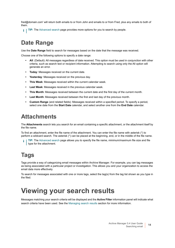fred@domain.com' will return both emails to or from John and emails to or from Fred, plus any emails to both of them.

**TIP:** The [Advanced search](#page-9-0) page provides more options for you to search by people.

## <span id="page-13-0"></span>**Date Range**

Use the **Date Range** field to search for messages based on the date that the message was received.

Choose one of the following options to specify a date range:

- **All**: (Default): All messages regardless of date received. This option must be used in conjunction with other criteria, such as search text or recipient information. Attempting to search using only the All option will generate an error.
- **Today**: Messages received on the current date.
- **Yesterday**: Messages received on the previous day.
- **This Week**: Messages received within the current calendar week.
- **Last Week**: Messages received in the previous calendar week.
- **This Month**: Messages received between the current date and the first day of the current month.
- **Last Month**: Messages received between the first and last day of the previous month.
- **Custom Range** (and related fields): Messages received within a specified period. To specify a period, select one date from the **Start Date** calendar, and select another one from the **End Date** calendar.

### <span id="page-13-4"></span><span id="page-13-1"></span>**Attachments**

The **Attachments** search lets you search for an email containing a specific attachment, or the attachment itself by the file name.

To find an attachment, enter the file name of the attachment. You can enter the file name with asterisk (\*) to perform a wildcard search. The asterisk (\*) can be placed at the beginning, end, or in the middle of the file name.

**TIP:** The [Advanced search](#page-9-0) page allows you to specify the file name, minimum/maximum file size and file ÷ type for the attachment.

## <span id="page-13-2"></span>**Tags**

Tags provide a way of categorizing email messages within Archive Manager. For example, you can tag messages as being associated with a particular project or investigation. This allows you and your organization to access the email data more effectively.

To search for messages associated with one or more tags, select the tag(s) from the tag list shown as you type in the filed.

# <span id="page-13-3"></span>**Viewing your search results**

Messages matching your search criteria will be displayed and the **Active Filter** information panel will indicate what search criteria have been used. See the [Managing search results](#page-16-2) section for more information.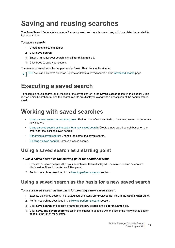# <span id="page-14-3"></span><span id="page-14-0"></span>**Saving and reusing searches**

The **Save Search** feature lets you save frequently used and complex searches, which can later be recalled for future searches.

#### *To save a search:*

- 1 Create and execute a search.
- 2 Click **Save Search**.
- 3 Enter a name for your search in the **Search Name** field.
- 4 Click **Save** to save your search.

The names of saved searches appear under **Saved Searches** in the sidebar.

**TIP:** You can also save a search, update or delete a saved search on the [Advanced search](#page-9-0) page.i I

## <span id="page-14-1"></span>**Executing a saved search**

To execute a saved search, click the title of the saved search in the **Saved Searches** tab (in the sidebar). The related Email Search form, and the search results are displayed along with a description of the search criteria used.

### <span id="page-14-2"></span>**Working with saved searches**

- **•** [Using a saved search as a starting point](#page-14-4)**:** Refine or redefine the criteria of the saved search to perform a new search.
- **•** [Using a saved search as the basis for a new saved search](#page-14-5)**:** Create a new saved search based on the criteria for the existing saved search.
- **•** [Renaming a saved search](#page-15-0): Change the name of a saved search.
- **•** [Deleting a saved search](#page-15-1)**:** Remove a saved search.

### <span id="page-14-4"></span>**Using a saved search as a starting point**

#### *To use a saved search as the starting point for another search:*

- 1 Execute the saved search. All of your search results are displayed. The related search criteria are displayed as filters in the **Active Filter** panel.
- 2 Perform search as described in the [How to perform a search](#page-8-0) section.

### <span id="page-14-5"></span>**Using a saved search as the basis for a new saved search**

#### *To use a saved search as the basis for creating a new saved search:*

- 1 Execute the saved search. The related search criteria are displayed as filters in the **Active Filter** panel.
- 2 Perform search as described in the [How to perform a search](#page-8-0) section.
- 3 Click **Save Search** and specify a name for the new search in the **Search Name** field.
- 4 Click **Save**. The **Saved Searches** tab in the sidebar is updated with the title of the newly saved search added to the list of menu items.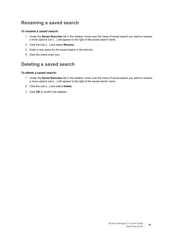### <span id="page-15-0"></span>**Renaming a saved search**

### *To rename a saved search:*

- 1 Under the **Saved Searches** tab in the sidebar, hover over the name of saved search you want to rename, a more options icon […] will appear to the right of the saved search name.
- 2 Click the icon […] and select **Rename**.
- 3 Enter a new name for the saved search in the text box.
- 4 Click the check mark icon.

### <span id="page-15-1"></span>**Deleting a saved search**

### *To delete a saved search:*

- 1 Under the **Saved Searches** tab in the sidebar, hover over the name of saved search you want to rename, a more options icon […] will appear to the right of the saved search name.
- 2 Click the icon […] and select **Delete**.
- 3 Click **OK** to confirm the deletion.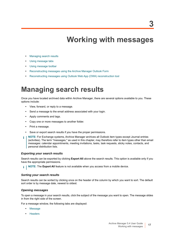# **Working with messages**

- <span id="page-16-0"></span>**•** [Managing search results](#page-16-1)
- **•** [Using message tabs](#page-18-0)
- **•** [Using message toolbar](#page-19-2)
- **•** [Reconstructing messages using the Archive Manager Outlook Form](#page-23-0)
- **•** [Reconstructing messages using Outlook Web App \(OWA\) reconstruction tool](#page-24-1)

## <span id="page-16-2"></span><span id="page-16-1"></span>**Managing search results**

Once you have located archived data within Archive Manager, there are several options available to you. These options include:

- **•** View, forward, or reply to a message.
- **•** Send a message to the email address associated with your login.
- **•** Apply comments and tags.
- **•** Copy one or more messages to another folder.
- **•** Print a message.
- **•** Save or export search results if you have the proper permissions.
- **NOTE:** For Exchange systems, Archive Manager archives all Outlook item types except Journal entries i (activities). The term "messages," as used in this chapter, may therefore refer to item types other than email messages: calendar appointments, meeting invitations, tasks, task requests, sticky notes, contacts, and personal distribution lists.

#### *Exporting your search results*

Search results can be exported by clicking **Export All** above the search results. This option is available only if you have the appropriate permissions.

**i** | NOTE: The Export All feature is not available when you access from a mobile device.

#### *Sorting your search results*

Search results can be sorted by clicking once on the header of the column by which you want to sort. The default sort order is by message date, newest to oldest.

#### *Opening messages*

To open a message in your search results, click the subject of the message you want to open. The message slides in from the right side of the screen.

For a message window, the following tabs are displayed:

- **•** [Message](#page-18-1)
- **•** [Headers](#page-18-2)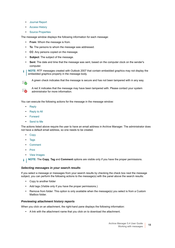- **•** [Journal Report](#page-18-3)
- **•** [Access History](#page-19-0)
- **•** [Source Properties](#page-19-1)

The message window displays the following information for each message:

- **From**: Whom the message is from.
- **To**: The persons to whom the message was addressed.
- **CC**: Any persons copied on the message.
- **Subject**: The subject of the message.
- **Sent**: The date and time that the message was sent, based on the computer clock on the sender's computer.

**NOTE:** RTF messages created with Outlook 2007 that contain embedded graphics may not display the ÷ embedded graphics properly in the message body.



A green check indicates that the message is secure and has not been tampered with in any way.



A red X indicates that the message may have been tampered with. Please contact your system administrator for more information.

You can execute the following actions for the message in the message window:

- **•** [Reply](#page-20-0)
- **•** [Reply to All](#page-20-1)
- **•** [Forward](#page-21-0)
- **•** [Send to Me](#page-21-1)

The actions listed above require the user to have an email address in Archive Manager. The administrator does not have a default email address, so one needs to be created.

- **•** [Copy](#page-22-0)
- **•** [Tags](#page-22-1)
- **•** [Comment](#page-22-2)
- **•** [Print](#page-23-3)
- **•** [View Images](#page-22-3)

**NOTE:** The **Copy**, **Tag** and **Comment** options are visible only if you have the proper permissions.i I

#### *Selecting messages in your search results*

If you select a message or messages from your search results by checking the check box next the message subject, you can perform the following actions to the message(s) with the panel above the search results:

- **•** Copy to another folder
- **•** Add tags (Visible only if you have the proper permissions.)
- **•** Remove from folder: This option is only available when the message(s) you select is from a Custom Mailbox folder.

#### *Previewing attachment history reports*

When you click on an attachment, the right-hand pane displays the following information:

**•** A link with the attachment name that you click on to download the attachment.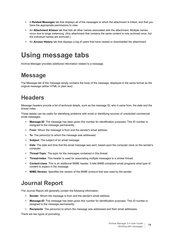- **•** A **Related Messages** tab that displays all of the messages to which the attachment is linked, and that you have the appropriate permissions to view.
- **•** An **Attachment Aliases** tab that lists all other names associated with the attachment. Multiple names occur due to singe instancing. (Any attachment that contains the same content is only archived once, but the individual names are archived.)
- **•** An **Access History** tab that displays a log of users that have viewed or downloaded the attachment.

# <span id="page-18-0"></span>**Using message tabs**

Archive Manager provides additional information related to a message.

## <span id="page-18-1"></span>**Message**

The Message tab of the message simply contains the body of the message, displayed in the same format as the original message (either HTML or plain text).

## <span id="page-18-2"></span>**Headers**

Message headers provide a list of technical details, such as the message ID, who it came from, the date and the thread index.

These details can be useful for identifying problems with email or identifying sources of unsolicited commercial email messages.

- **Message-ID**: The message has been given this number for identification purposes. This ID number is assigned to the message permanently.
- **From**: Whom the message is from and the sender's email address.
- **To**: The person(s) to whom the message was addressed.
- **Subject**: The subject of an email message.
- **Date**: The date and time that the email message was sent, based upon the computer clock on the sender's computer.
- **Thread-Topic**: The topic for the messages contained in this thread.
- **Thread-Index**: This header is used for associating multiple messages to a similar thread.
- **Content-class**: This is an additional MIME header. It tells MIME-compliant email programs what type of content to expect in the message.
- **MIME-Version**: Specifies the version of the MIME protocol that was used by the sender.

## <span id="page-18-3"></span>**Journal Report**

The Journal Report will generally contain the following information:

- **Sender:** Whom the message is from and the sender's email address.
- **Message-ID**: The message has been given this number for identification purposes. This ID number is assigned to the message permanently.
- **Recipients**: The person(s) to whom the message was addressed and their email addresses.

There are two types of journaling: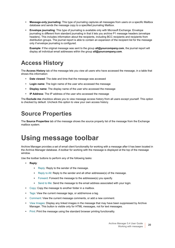- **Message-only journaling:** This type of journaling captures all messages from users on a specific Mailbox database and sends the message copy to a specified journaling Mailbox.
- **Envelope journaling**: This type of journaling is available only with Microsoft Exchange. Envelope journaling is different from standard journaling in that it lets you archive P1 message headers (envelope headers). This includes information about the recipients, including BCC recipients and recipients from distribution groups. The journal report is able to contain an expansion of the recipient list for the message only if envelope journaling is configured.

**Example**: If the original message was sent to the group **all@yourcompany.com**, the journal report will display all individual email addresses within the group **all@yourcompany.com**.

## <span id="page-19-0"></span>**Access History**

The **Access History** tab of the message lets you view all users who have accessed the message, in a table that shows this information:

- **Date viewed**: The date and time that the message was accessed
- **Login name**: The login name of the user who accessed the message
- **Display name**: The display name of the user who accessed the message
- **IP Address**: The IP address of the user who accessed the message

The **Exclude me** checkbox allows you to view message access history from all users except yourself. This option is checked by default. Uncheck this option to view your own access history.

## <span id="page-19-1"></span>**Source Properties**

The **Source Properties** tab of the message shows the source property list of the message from the Exchange mailbox system.

# <span id="page-19-2"></span>**Using message toolbar**

Archive Manager provides a set of email client functionality for working with a message after it has been located in the Archive Manager database. A toolbar for working with the message is displayed at the top of the message window.

Use the toolbar buttons to perform any of the following tasks:

- **Reply**:
	- **▪** [Reply:](#page-20-0) Reply to the sender of the message.
	- **▪** [Reply to All:](#page-20-1) Reply to the sender and all other addressee(s) of the message.
	- **▪** [Forward:](#page-21-0) Forward the message to the addressee(s) you specify.
	- **■** [Send to Me:](#page-21-1) Send the message to the email address associated with your login.
- **•** [Copy:](#page-22-0) Copy the message to another folder in a mailbox.
- **•** [Tags:](#page-22-1) View the current message tags, or add/remove a tag.
- **•** [Comment:](#page-22-2) View the current message comments, or add a new comment.
- **•** [View Images](#page-22-3): Display any linked images in the message that may have been suppressed by Archive Manager. This button is visible only for HTML messages, not for text messages.
- **•** [Print](#page-23-3): Print the message using the standard browser printing functionality.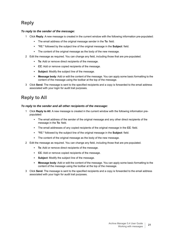### <span id="page-20-0"></span>**Reply**

### *To reply to the sender of the message:*

- 1 Click **Reply**. A new message is created in the current window with the following information pre-populated:
	- **▪** The email address of the original message sender in the **To**: field.
	- **▪** "RE:" followed by the subject line of the original message in the **Subject**: field.
	- **▪** The content of the original message as the body of the new message.
- 2 Edit the message as required. You can change any field, including those that are pre-populated.
	- **To**: Add or remove direct recipients of the message.
	- **CC**: Add or remove copied recipients of the message.
	- **Subject**: Modify the subject line of the message.
	- **Message body**: Add or edit the content of the message. You can apply some basic formatting to the content of the message using the toolbar at the top of the message.
- 3 Click **Send**. The message is sent to the specified recipients and a copy is forwarded to the email address associated with your login for audit trail purposes.

### <span id="page-20-1"></span>**Reply to All**

#### *To reply to the sender and all other recipients of the message:*

- 1 Click **Reply to All**. A new message is created in the current window with the following information prepopulated:
	- **▪** The email address of the sender of the original message and any other direct recipients of the message in the **To**: field.
	- **▪** The email addresses of any copied recipients of the original message in the **CC**: field.
	- **▪** "RE:" followed by the subject line of the original message in the **Subject**: field.
	- **•** The content of the original message as the body of the new message.
- 2 Edit the message as required. You can change any field, including those that are pre-populated.
	- **To**: Add or remove direct recipients of the message.
	- **CC**: Add or remove copied recipients of the message.
	- **Subject:** Modify the subject line of the message.
	- **Message body:** Add or edit the content of the message. You can apply some basic formatting to the content of the message using the toolbar at the top of the message.
- 3 Click **Send**. The message is sent to the specified recipients and a copy is forwarded to the email address associated with your login for audit trail purposes.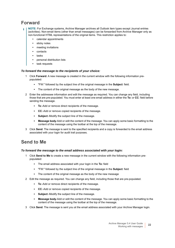### <span id="page-21-0"></span>**Forward**

- **NOTE:** For Exchange systems, Archive Manager archives all Outlook item types except Journal entries (activities). Non-email items (other than email messages) can be forwarded from Archive Manager only as non-functional HTML representations of the original items. This restriction applies to:
	- **•** calendar appointments
	- **•** sticky notes
	- **•** meeting invitations
	- **•** contacts
	- **•** tasks
	- **•** personal distribution lists
	- **•** task requests

### *To forward the message to the recipients of your choice:*

- 1 Click **Forward**. A new message is created in the current window with the following information prepopulated:
	- **▪** "FW:" followed by the subject line of the original message in the **Subject**: field.
	- **▪** The content of the original message as the body of the new message.
- 2 Enter the addressee information and edit the message as required. You can change any field, including those that are pre-populated. You must enter at least one email address in either the **To:** or **CC**: field before sending the message.
	- **To**:-Add or remove direct recipients of the message.
	- **CC**:-Add or remove copied recipients of the message.
	- **Subject**:-Modify the subject line of the message.
	- **Message body-Add or edit the content of the message. You can apply some basic formatting to the** content of the message using the toolbar at the top of the message.
- 3 Click **Send**. The message is sent to the specified recipients and a copy is forwarded to the email address associated with your login for audit trail purposes.

### <span id="page-21-1"></span>**Send to Me**

#### *To forward the message to the email address associated with your login:*

- 1 Click **Send to Me** to create a new message in the current window with the following information prepopulated:
	- **▪** The email address associated with your login in the **To:** field
	- **▪** "FW:" followed by the subject line of the original message in the **Subject**: field
	- **▪** The content of the original message as the body of the new message
- 2 Edit the message as required. You can change any field, including those that are pre-populated.
	- **To**:-Add or remove direct recipients of the message.
	- **CC**:-Add or remove copied recipients of the message.
	- **Subject**:-Modify the subject line of the message.
	- **Message body**-Add or edit the content of the message. You can apply some basic formatting to the content of the message using the toolbar at the top of the message.
- 3 Click **Send**. The message is sent you at the email address associated with your Archive Manager login.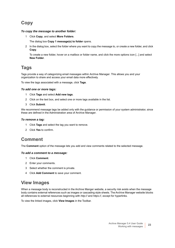### <span id="page-22-0"></span>**Copy**

### *To copy the message to another folder:*

1 Click **Copy**, and select **More Folders**.

The dialog box **Copy 1 message(s) to folder** opens.

2 In the dialog box, select the folder where you want to copy the message to, or create a new folder, and click **Copy**.

To create a new folder, hover on a mailbox or folder name, and click the more options icon [...] and select **New Folder**.

### <span id="page-22-1"></span>**Tags**

Tags provide a way of categorizing email messages within Archive Manager. This allows you and your organization to share and access your email data more effectively.

To view the tags associated with a message, click **Tags**.

#### *To add one or more tags:*

- 1 Click **Tags** and select **Add new tags**.
- 2 Click on the text box, and select one or more tags available in the list.
- 3 Click **Submit**.

We recommend message tags be added only with the guidance or permission of your system administrator, since these are defined in the Administration area of Archive Manager.

#### *To remove a tag:*

- 1 Click **Tags** and select the tag you want to remove.
- 2 Click **Yes** to confirm.

### <span id="page-22-2"></span>**Comment**

The **Comment** option of the message lets you add and view comments related to the selected message.

#### *To add a comment to a message:*

- 1 Click **Comment**.
- 2 Enter your comments.
- 3 Select whether the comment is private.
- 4 Click **Add Comment** to save your comment.

### <span id="page-22-3"></span>**View Images**

When a message body is reconstructed in the Archive Manger website, a security risk exists when the message body contains external references such as images or cascading style sheets. The Archive Manager website blocks all references to external resources beginning with *http://* and *https://*, except for hyperlinks.

To view the linked images, click **View Images** in the Toolbar.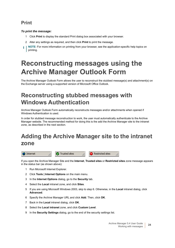### <span id="page-23-3"></span>**Print**

### *To print the message:*

- 1 Click **Print** to display the standard Print dialog box associated with your browser.
- 2 Alter any settings as required, and then click **Print** to print the message.
- **NOTE:** For more information on printing from your browser, see the application-specific help topics on ÷ printing.

# <span id="page-23-0"></span>**Reconstructing messages using the Archive Manager Outlook Form**

The Archive Manager Outlook Form allows the user to reconstruct the stubbed message(s) and attachment(s) on the Exchange server using a supported version of Microsoft Office Outlook.

## <span id="page-23-1"></span>**Reconstructing stubbed messages with Windows Authentication**

Archive Manager Outlook Form automatically reconstructs messages and/or attachments when opened if Windows Authentication is used.

In order for stubbed message reconstruction to work, the user must automatically authenticate to the Archive Manager website. The recommended method for doing this is the add the Archive Manager site to the intranet zone, as described in the next section.

## <span id="page-23-2"></span>**Adding the Archive Manager site to the intranet zone**

**D** Internet

**O** Trusted sites

 $\Rightarrow$  Restricted sites

h,

If you open the Archive Manager Site and the **Internet**, **Trusted sites** or **Restricted sites** zone message appears in the status bar (as shown above):

- 1 Run Microsoft Internet Explorer.
- 2 Click **Tools | Internet Options** on the main menu.
- 3 In the **Internet Options** dialog, go to the **Security** tab.
- 4 Select the **Local** intranet zone, and click **Sites**.
- 5 If you are using Microsoft Windows 2003, skip to step 6. Otherwise, in the **Local** intranet dialog, click **Advanced**.
- 6 Specify the Archive Manager URL and click **Add**. Then, click **OK**.
- 7 Back in the **Local** intranet dialog, click **OK**.
- 8 Select the **Local intranet** zone, and click **Custom Level**.
- 9 In the **Security Settings** dialog, go to the end of the security settings list.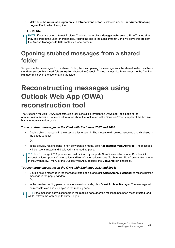- 10 Make sure the **Automatic logon only in Intranet zone** option is selected under **User Authentication | Logon**. If not, select the option.
- 11 Click **OK**.
- **NOTE:** If you are using Internet Explorer 7, adding the Archive Manager web server URL to Trusted sites may still prompt the user for credentials. Adding the site to the Local Intranet Zone will solve this problem if the Archive Manager site URL contains a local domain.

## <span id="page-24-0"></span>**Opening stubbed messages from a shared folder**

To open stubbed messages from a shared folder, the user opening the message from the shared folder must have the **allow scripts in shared folders option** checked in Outlook. The user must also have access to the Archive Manager mailbox of the user sharing the folder.

# <span id="page-24-1"></span>**Reconstructing messages using Outlook Web App (OWA) reconstruction tool**

The Outlook Web App (OWA) reconstruction tool is installed through the Download Tools page of the Administration Website. For more information about the tool, refer to the *Download Tools* chapter of the Archive Manager Administration guide.

### *To reconstruct messages in the OWA with Exchange 2007 and 2010:*

**•** Double-click a message in the message list to open it. The message will be reconstructed and displayed in the popup window.

Or,

- **•** In the preview reading pane in non-conversation mode, click **Reconstruct from Archived**. The message will be reconstructed and displayed in the reading pane.
- <sup>1</sup> | TIP: For Exchange 2010, preview reconstruction only supports Non-Conversation mode. Double-click reconstruction supports Conversation and Non-Conversation modes. To change to Non-Conversation mode, in the Arrange by... menu of the Outlook Web App, deselect the **Conversation** checkbox.

#### *To reconstruct messages in the OWA with Exchange 2013 and 2016:*

- **•** Double-click a message in the message list to open it, and click **Quest Archive Manage**r to reconstruct the message in the popup window. Or,
- **•** In the preview reading pane in non-conversation mode, click **Quest Archive Manage**r. The message will be reconstructed and displayed in the reading pane.
- **TIP:** If the message body disappears in the reading pane after the message has been reconstructed for a ÷ while, refresh the web page to show it again.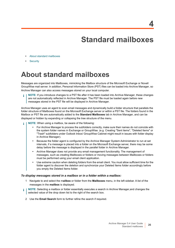<span id="page-25-2"></span>**Standard mailboxes**

- <span id="page-25-0"></span>**•** [About standard mailboxes](#page-25-1)
- **•** [Security](#page-26-0)

# <span id="page-25-1"></span>**About standard mailboxes**

Messages are organized into Mailboxes, mimicking the Mailbox structure of the Microsoft Exchange or Novell GroupWise mail server. In addition, Personal Information Store (PST) files can be loaded into Archive Manager, so Archive Manager can also access messages stored on your local computer.

**NOTE:** If you introduce changes to a PST file after it has been loaded into Archive Manager, these changes are not automatically reflected in Archive Manager. The PST file must be loaded again before new messages stored in the PST file will be displayed in Archive Manager.

Archive Manager uses an agent to scan email messages and dynamically build a folder structure that parallels the folder structure of Mailboxes found on the Microsoft Exchange server or within a PST file. The folders found in the Mailbox or PST file are automatically added to the **Standard Mailboxes** tab in Archive Manager, and can be displayed or hidden by expanding or collapsing the tree structure of the menu.

- **NOTE:** When using a mailbox, be aware of the following: ÷
	- **•** For Archive Manager to process the subfolders correctly, make sure their names do not coincide with the system folder names in Exchange or GroupWise. (e.g. Creating "Sent items", "Deleted Items" or "Trash" subfolders under Outlook Inbox/ GroupWise Cabinet might result in issues with folder display in Archive Manager).
	- **•** Because the folder agent is configured by the Archive Manager System Administrator to run at set intervals, if a message is placed into a folder on the Microsoft Exchange server, there may be some delay before the message is displayed in the parallel folder in Archive Manager.
	- **•** Archive Manager does not provide any email management functionality. The management of messages, such as creating Mailboxes or folders or moving messages between Mailboxes or folders must be performed using your email client application.
	- **•** Use extreme caution when deleting folders from the email client. You must allow sufficient time for the folder agent to discover the deletion and synchronize your Deleted Items folder accordingly before you empty the Deleted Items folder.

#### *To display messages stored in a mailbox or in a folder within a mailbox:*

- 1 Navigate to and select the m**ailbox** or folder from the **Mailboxes** menu, in the left sidebar. A list of the messages in the **mailbox** is displayed.
- **NOTE:** Selecting a mailbox or folder essentially executes a search in Archive Manager,and changes the i selected value of the drop down list to the right of the search box.
	- 2 Use the **Email Search** form to further refine the search if required.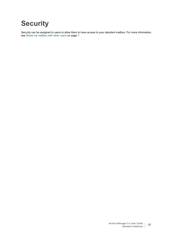# <span id="page-26-0"></span>**Security**

Security can be assigned to users to allow them to have access to your standard mailbox. [For more information,](#page-6-3)  [see Share my mailbox with other users on page 7.](#page-6-3)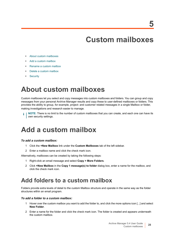# <span id="page-27-4"></span>**Custom mailboxes**

- <span id="page-27-0"></span>**•** [About custom mailboxes](#page-27-1)
- **•** [Add a custom mailbox](#page-27-2)
- **•** [Rename a custom mailbox](#page-28-0)
- **•** [Delete a custom mailbox](#page-28-1)
- **•** [Security](#page-28-2)

# <span id="page-27-1"></span>**About custom mailboxes**

Custom mailboxes let you select and copy messages into custom mailboxes and folders. You can group and copy messages from your personal Archive Manager results and copy these to user-defined mailboxes or folders. This provides the ability to group, for example, project- and customer related messages in a single Mailbox or folder, making investigations and research easier to manage.

**NOTE:** There is no limit to the number of custom mailboxes that you can create, and each one can have its i own security settings.

# <span id="page-27-2"></span>**Add a custom mailbox**

### *To add a custom mailbox:*

- 1 Click the **+New Mailbox** link under the **Custom Mailboxes** tab of the left sidebar.
- 2 Enter a mailbox name and click the check mark icon.

Alternatively, mailboxes can be created by taking the following steps:

- 1 Right-click an email message and select **Copy > More Folders**.
- 2 Click **+New Mailbox** in the **Copy 1 message(s) to folder** dialog box, enter a name for the mailbox, and click the check mark icon.

### <span id="page-27-3"></span>**Add folders to a custom mailbox**

Folders provide extra levels of detail to the custom Mailbox structure and operate in the same way as the folder structures within an email program.

#### *To add a folder to a custom mailbox:*

- 1 Hover over the custom mailbox you want to add the folder to, and click the more options icon [...] and select **New Folder**.
- 2 Enter a name for the folder and click the check mark icon. The folder is created and appears underneath the custom mailbox.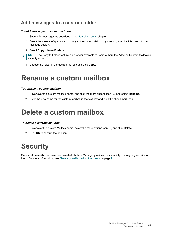### **Add messages to a custom folder**

### *To add messages to a custom folder:*

- 1 Search for messages as described in the [Searching email](#page-7-3) chapter.
- 2 Select the message(s) you want to copy to the custom Mailbox by checking the check box next to the message subject.
- 3 Select **Copy** > **More Folders**.
- **NOTE:** The Copy to Folder feature is no longer available to users without the Add/Edit Custom Mailboxes i security action.
	- 4 Choose the folder in the desired mailbox and click **Copy**.

## <span id="page-28-0"></span>**Rename a custom mailbox**

#### *To rename a custom mailbox:*

- 1 Hover over the custom mailbox name, and click the more options icon [...] and select **Rename**.
- 2 Enter the new name for the custom mailbox in the text box and click the check mark icon.

# <span id="page-28-1"></span>**Delete a custom mailbox**

### *To delete a custom mailbox:*

- 1 Hover over the custom Mailbox name, select the more options icon [...] and click **Delete**.
- 2 Click **OK** to confirm the deletion.

# <span id="page-28-2"></span>**Security**

Once custom mailboxes have been created, Archive Manager provides the capability of assigning security to them. [For more information, see Share my mailbox with other users on page 7.](#page-6-3)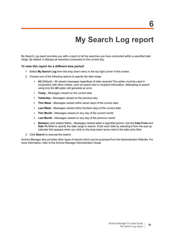# <span id="page-29-1"></span>**My Search Log report**

<span id="page-29-0"></span>My Search Log report provides you with a report of all the searches you have conducted within a specified date range. By default, it displays all searches conducted on the current day.

#### *To view this report for a different time period:*

- 1 Select **My Search Log** from the drop down menu in the top right corner of the screen.
- 2 Choose one of the following options to specify the date range:
	- **All** (Default) All viewed messages regardless of date received. This option must be used in conjunction with other criteria, such as search text or recipient information. Attempting to search using only the **All** option will generate an error.
	- **Today** Messages viewed on the current date
	- **Yesterday** Messages viewed on the previous day
	- This Week Messages viewed within seven days of the current date
	- **Last Week** Messages viewed within fourteen days of the current date
	- **This Month** Messages viewed on any day of the current month
	- **Last Month** Messages viewed on any day of the previous month
	- **Between** (and related fields) Messages viewed within a specified period. Use the **Date From** and **Date To** fields to specify the date range to search. Enter each date by selecting it from the pop-up calendar that appears when you click on the drop-down arrow next to the date entry field.
- 3 Click **Search** to execute the search.

Archive Manager also provides other types of reports which can be accessed from the Administration Website. For more information, refer to the Archive Manager Administration Guide.